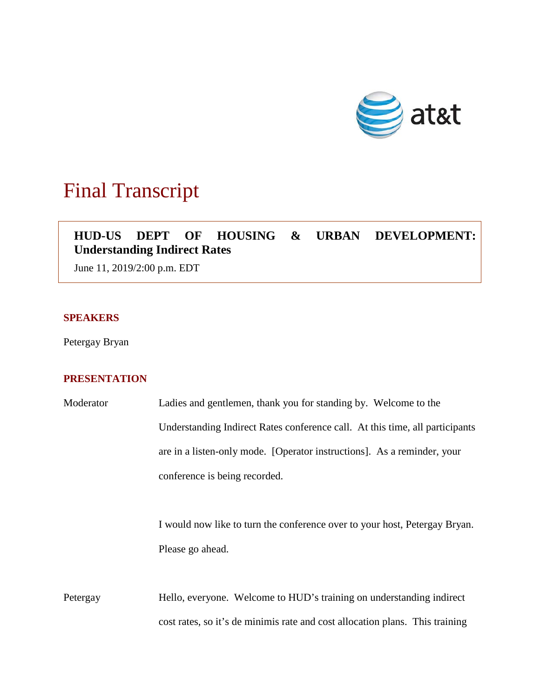

# Final Transcript

# **HUD-US DEPT OF HOUSING & URBAN DEVELOPMENT: Understanding Indirect Rates**

June 11, 2019/2:00 p.m. EDT

### **SPEAKERS**

Petergay Bryan

## **PRESENTATION**

| Moderator | Ladies and gentlemen, thank you for standing by. Welcome to the              |
|-----------|------------------------------------------------------------------------------|
|           | Understanding Indirect Rates conference call. At this time, all participants |
|           | are in a listen-only mode. [Operator instructions]. As a reminder, your      |
|           | conference is being recorded.                                                |
|           |                                                                              |
|           | I would now like to turn the conference over to your host, Petergay Bryan.   |
|           | Please go ahead.                                                             |
|           |                                                                              |
| Petergay  | Hello, everyone. Welcome to HUD's training on understanding indirect         |
|           | cost rates, so it's de minimis rate and cost allocation plans. This training |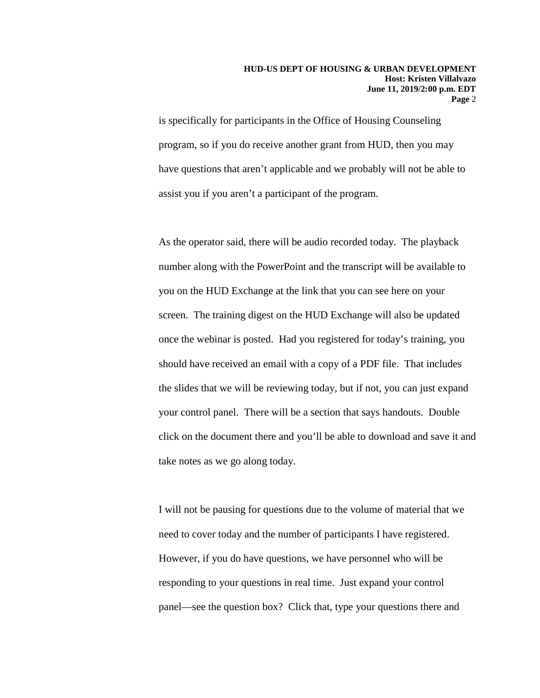is specifically for participants in the Office of Housing Counseling program, so if you do receive another grant from HUD, then you may have questions that aren't applicable and we probably will not be able to assist you if you aren't a participant of the program.

As the operator said, there will be audio recorded today. The playback number along with the PowerPoint and the transcript will be available to you on the HUD Exchange at the link that you can see here on your screen. The training digest on the HUD Exchange will also be updated once the webinar is posted. Had you registered for today's training, you should have received an email with a copy of a PDF file. That includes the slides that we will be reviewing today, but if not, you can just expand your control panel. There will be a section that says handouts. Double click on the document there and you'll be able to download and save it and take notes as we go along today.

I will not be pausing for questions due to the volume of material that we need to cover today and the number of participants I have registered. However, if you do have questions, we have personnel who will be responding to your questions in real time. Just expand your control panel—see the question box? Click that, type your questions there and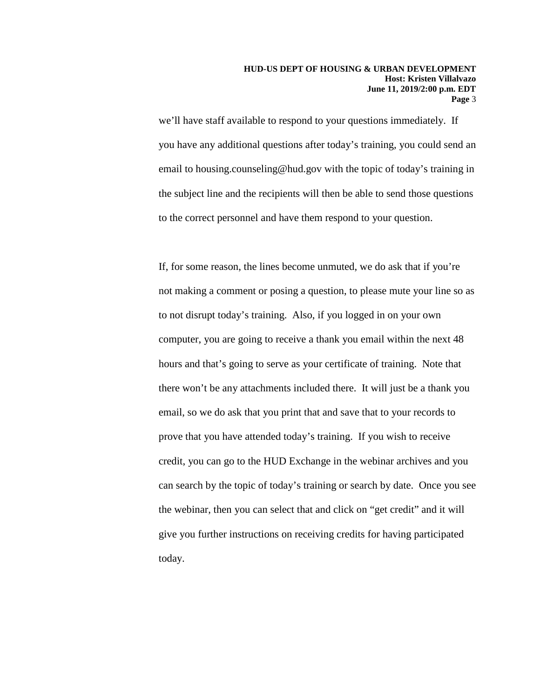we'll have staff available to respond to your questions immediately. If you have any additional questions after today's training, you could send an email to housing.counseling@hud.gov with the topic of today's training in the subject line and the recipients will then be able to send those questions to the correct personnel and have them respond to your question.

If, for some reason, the lines become unmuted, we do ask that if you're not making a comment or posing a question, to please mute your line so as to not disrupt today's training. Also, if you logged in on your own computer, you are going to receive a thank you email within the next 48 hours and that's going to serve as your certificate of training. Note that there won't be any attachments included there. It will just be a thank you email, so we do ask that you print that and save that to your records to prove that you have attended today's training. If you wish to receive credit, you can go to the HUD Exchange in the webinar archives and you can search by the topic of today's training or search by date. Once you see the webinar, then you can select that and click on "get credit" and it will give you further instructions on receiving credits for having participated today.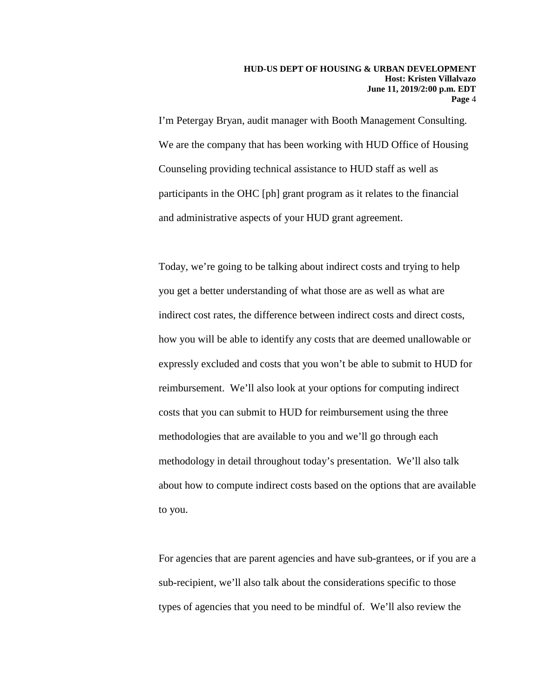I'm Petergay Bryan, audit manager with Booth Management Consulting. We are the company that has been working with HUD Office of Housing Counseling providing technical assistance to HUD staff as well as participants in the OHC [ph] grant program as it relates to the financial and administrative aspects of your HUD grant agreement.

Today, we're going to be talking about indirect costs and trying to help you get a better understanding of what those are as well as what are indirect cost rates, the difference between indirect costs and direct costs, how you will be able to identify any costs that are deemed unallowable or expressly excluded and costs that you won't be able to submit to HUD for reimbursement. We'll also look at your options for computing indirect costs that you can submit to HUD for reimbursement using the three methodologies that are available to you and we'll go through each methodology in detail throughout today's presentation. We'll also talk about how to compute indirect costs based on the options that are available to you.

For agencies that are parent agencies and have sub-grantees, or if you are a sub-recipient, we'll also talk about the considerations specific to those types of agencies that you need to be mindful of. We'll also review the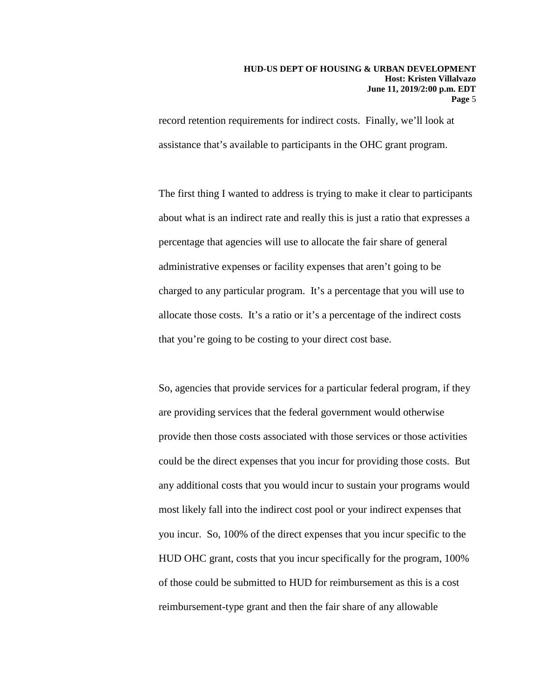record retention requirements for indirect costs. Finally, we'll look at assistance that's available to participants in the OHC grant program.

The first thing I wanted to address is trying to make it clear to participants about what is an indirect rate and really this is just a ratio that expresses a percentage that agencies will use to allocate the fair share of general administrative expenses or facility expenses that aren't going to be charged to any particular program. It's a percentage that you will use to allocate those costs. It's a ratio or it's a percentage of the indirect costs that you're going to be costing to your direct cost base.

So, agencies that provide services for a particular federal program, if they are providing services that the federal government would otherwise provide then those costs associated with those services or those activities could be the direct expenses that you incur for providing those costs. But any additional costs that you would incur to sustain your programs would most likely fall into the indirect cost pool or your indirect expenses that you incur. So, 100% of the direct expenses that you incur specific to the HUD OHC grant, costs that you incur specifically for the program, 100% of those could be submitted to HUD for reimbursement as this is a cost reimbursement-type grant and then the fair share of any allowable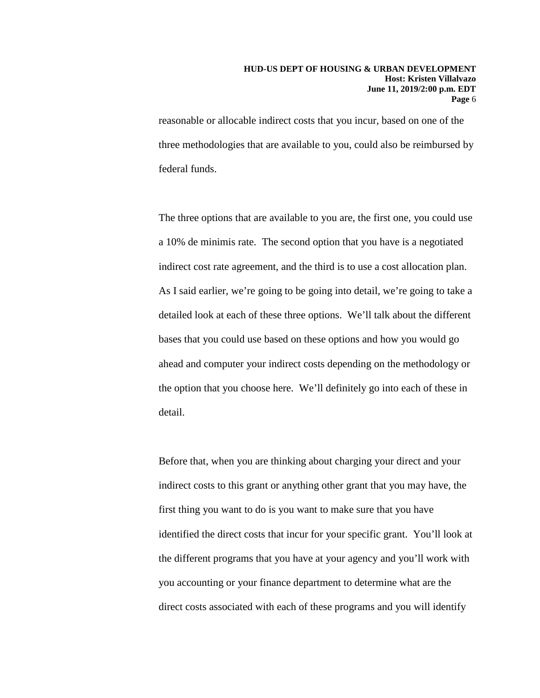reasonable or allocable indirect costs that you incur, based on one of the three methodologies that are available to you, could also be reimbursed by federal funds.

The three options that are available to you are, the first one, you could use a 10% de minimis rate. The second option that you have is a negotiated indirect cost rate agreement, and the third is to use a cost allocation plan. As I said earlier, we're going to be going into detail, we're going to take a detailed look at each of these three options. We'll talk about the different bases that you could use based on these options and how you would go ahead and computer your indirect costs depending on the methodology or the option that you choose here. We'll definitely go into each of these in detail.

Before that, when you are thinking about charging your direct and your indirect costs to this grant or anything other grant that you may have, the first thing you want to do is you want to make sure that you have identified the direct costs that incur for your specific grant. You'll look at the different programs that you have at your agency and you'll work with you accounting or your finance department to determine what are the direct costs associated with each of these programs and you will identify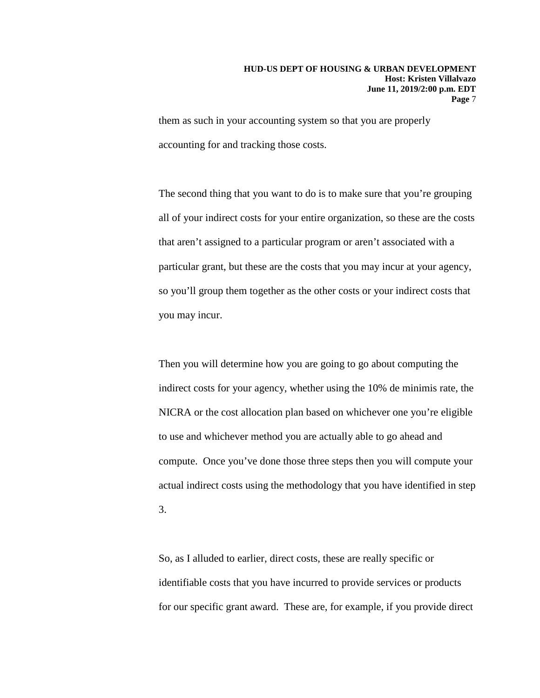them as such in your accounting system so that you are properly accounting for and tracking those costs.

The second thing that you want to do is to make sure that you're grouping all of your indirect costs for your entire organization, so these are the costs that aren't assigned to a particular program or aren't associated with a particular grant, but these are the costs that you may incur at your agency, so you'll group them together as the other costs or your indirect costs that you may incur.

Then you will determine how you are going to go about computing the indirect costs for your agency, whether using the 10% de minimis rate, the NICRA or the cost allocation plan based on whichever one you're eligible to use and whichever method you are actually able to go ahead and compute. Once you've done those three steps then you will compute your actual indirect costs using the methodology that you have identified in step 3.

So, as I alluded to earlier, direct costs, these are really specific or identifiable costs that you have incurred to provide services or products for our specific grant award. These are, for example, if you provide direct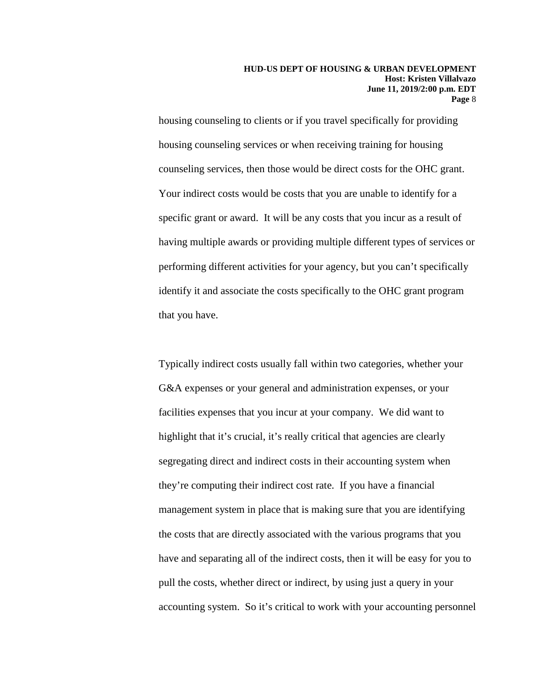housing counseling to clients or if you travel specifically for providing housing counseling services or when receiving training for housing counseling services, then those would be direct costs for the OHC grant. Your indirect costs would be costs that you are unable to identify for a specific grant or award. It will be any costs that you incur as a result of having multiple awards or providing multiple different types of services or performing different activities for your agency, but you can't specifically identify it and associate the costs specifically to the OHC grant program that you have.

Typically indirect costs usually fall within two categories, whether your G&A expenses or your general and administration expenses, or your facilities expenses that you incur at your company. We did want to highlight that it's crucial, it's really critical that agencies are clearly segregating direct and indirect costs in their accounting system when they're computing their indirect cost rate. If you have a financial management system in place that is making sure that you are identifying the costs that are directly associated with the various programs that you have and separating all of the indirect costs, then it will be easy for you to pull the costs, whether direct or indirect, by using just a query in your accounting system. So it's critical to work with your accounting personnel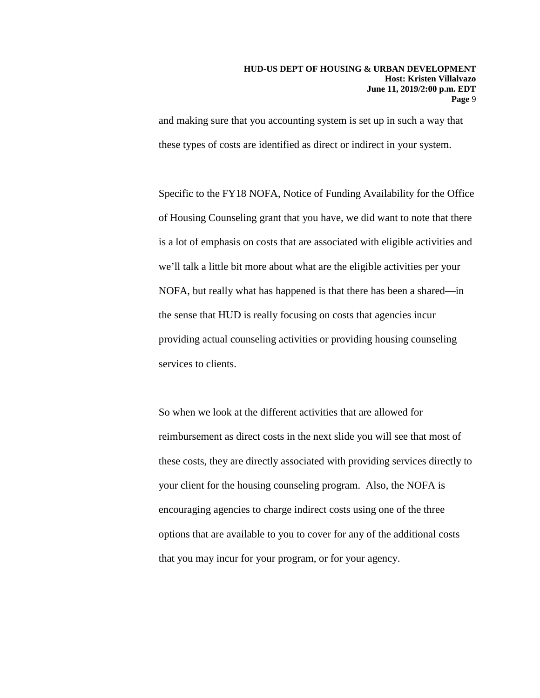and making sure that you accounting system is set up in such a way that these types of costs are identified as direct or indirect in your system.

Specific to the FY18 NOFA, Notice of Funding Availability for the Office of Housing Counseling grant that you have, we did want to note that there is a lot of emphasis on costs that are associated with eligible activities and we'll talk a little bit more about what are the eligible activities per your NOFA, but really what has happened is that there has been a shared—in the sense that HUD is really focusing on costs that agencies incur providing actual counseling activities or providing housing counseling services to clients.

So when we look at the different activities that are allowed for reimbursement as direct costs in the next slide you will see that most of these costs, they are directly associated with providing services directly to your client for the housing counseling program. Also, the NOFA is encouraging agencies to charge indirect costs using one of the three options that are available to you to cover for any of the additional costs that you may incur for your program, or for your agency.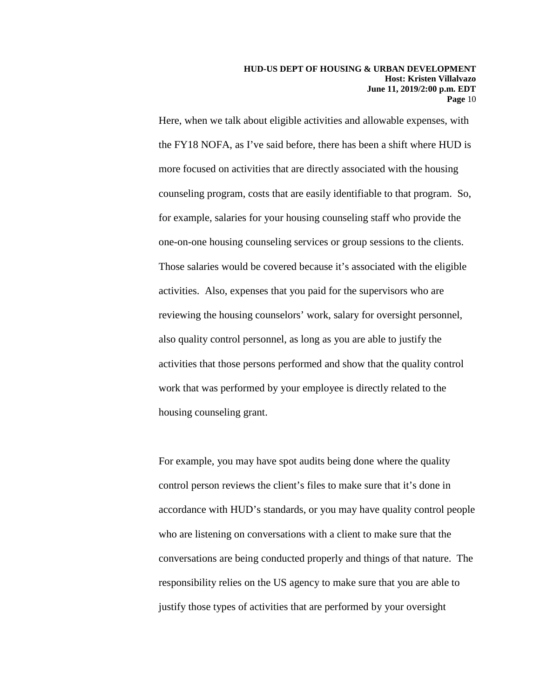Here, when we talk about eligible activities and allowable expenses, with the FY18 NOFA, as I've said before, there has been a shift where HUD is more focused on activities that are directly associated with the housing counseling program, costs that are easily identifiable to that program. So, for example, salaries for your housing counseling staff who provide the one-on-one housing counseling services or group sessions to the clients. Those salaries would be covered because it's associated with the eligible activities. Also, expenses that you paid for the supervisors who are reviewing the housing counselors' work, salary for oversight personnel, also quality control personnel, as long as you are able to justify the activities that those persons performed and show that the quality control work that was performed by your employee is directly related to the housing counseling grant.

For example, you may have spot audits being done where the quality control person reviews the client's files to make sure that it's done in accordance with HUD's standards, or you may have quality control people who are listening on conversations with a client to make sure that the conversations are being conducted properly and things of that nature. The responsibility relies on the US agency to make sure that you are able to justify those types of activities that are performed by your oversight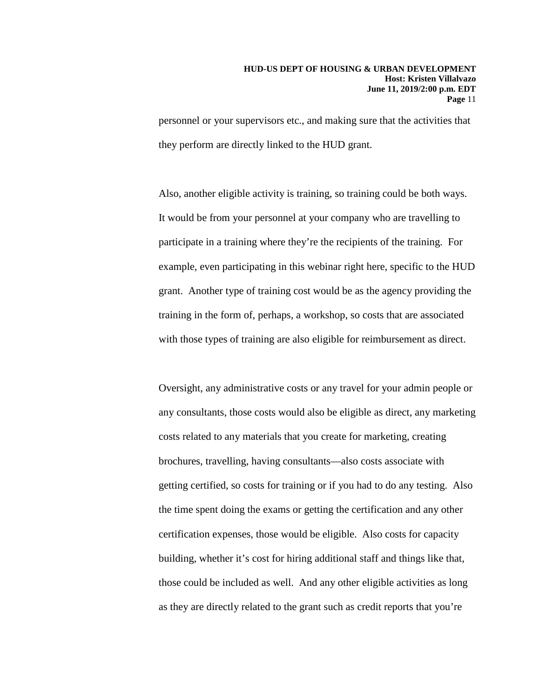personnel or your supervisors etc., and making sure that the activities that they perform are directly linked to the HUD grant.

Also, another eligible activity is training, so training could be both ways. It would be from your personnel at your company who are travelling to participate in a training where they're the recipients of the training. For example, even participating in this webinar right here, specific to the HUD grant. Another type of training cost would be as the agency providing the training in the form of, perhaps, a workshop, so costs that are associated with those types of training are also eligible for reimbursement as direct.

Oversight, any administrative costs or any travel for your admin people or any consultants, those costs would also be eligible as direct, any marketing costs related to any materials that you create for marketing, creating brochures, travelling, having consultants—also costs associate with getting certified, so costs for training or if you had to do any testing. Also the time spent doing the exams or getting the certification and any other certification expenses, those would be eligible. Also costs for capacity building, whether it's cost for hiring additional staff and things like that, those could be included as well. And any other eligible activities as long as they are directly related to the grant such as credit reports that you're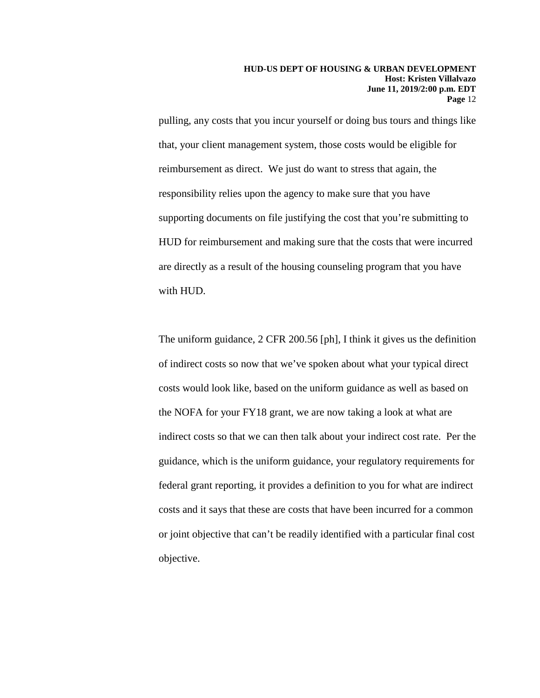pulling, any costs that you incur yourself or doing bus tours and things like that, your client management system, those costs would be eligible for reimbursement as direct. We just do want to stress that again, the responsibility relies upon the agency to make sure that you have supporting documents on file justifying the cost that you're submitting to HUD for reimbursement and making sure that the costs that were incurred are directly as a result of the housing counseling program that you have with HUD.

The uniform guidance, 2 CFR 200.56 [ph], I think it gives us the definition of indirect costs so now that we've spoken about what your typical direct costs would look like, based on the uniform guidance as well as based on the NOFA for your FY18 grant, we are now taking a look at what are indirect costs so that we can then talk about your indirect cost rate. Per the guidance, which is the uniform guidance, your regulatory requirements for federal grant reporting, it provides a definition to you for what are indirect costs and it says that these are costs that have been incurred for a common or joint objective that can't be readily identified with a particular final cost objective.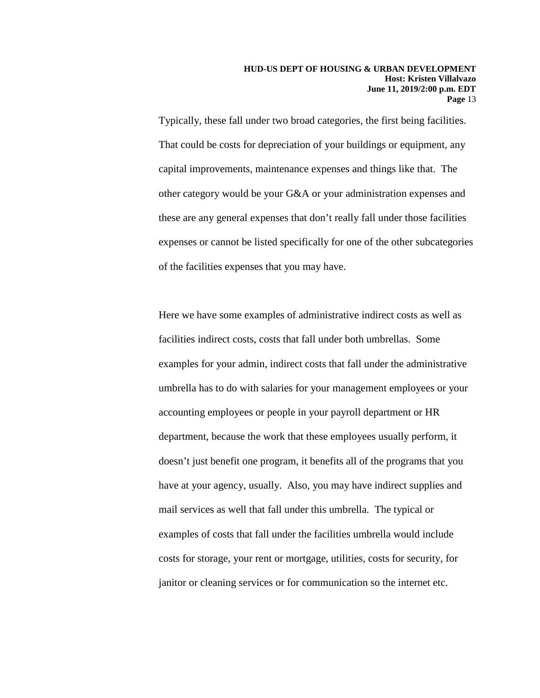Typically, these fall under two broad categories, the first being facilities. That could be costs for depreciation of your buildings or equipment, any capital improvements, maintenance expenses and things like that. The other category would be your G&A or your administration expenses and these are any general expenses that don't really fall under those facilities expenses or cannot be listed specifically for one of the other subcategories of the facilities expenses that you may have.

Here we have some examples of administrative indirect costs as well as facilities indirect costs, costs that fall under both umbrellas. Some examples for your admin, indirect costs that fall under the administrative umbrella has to do with salaries for your management employees or your accounting employees or people in your payroll department or HR department, because the work that these employees usually perform, it doesn't just benefit one program, it benefits all of the programs that you have at your agency, usually. Also, you may have indirect supplies and mail services as well that fall under this umbrella. The typical or examples of costs that fall under the facilities umbrella would include costs for storage, your rent or mortgage, utilities, costs for security, for janitor or cleaning services or for communication so the internet etc.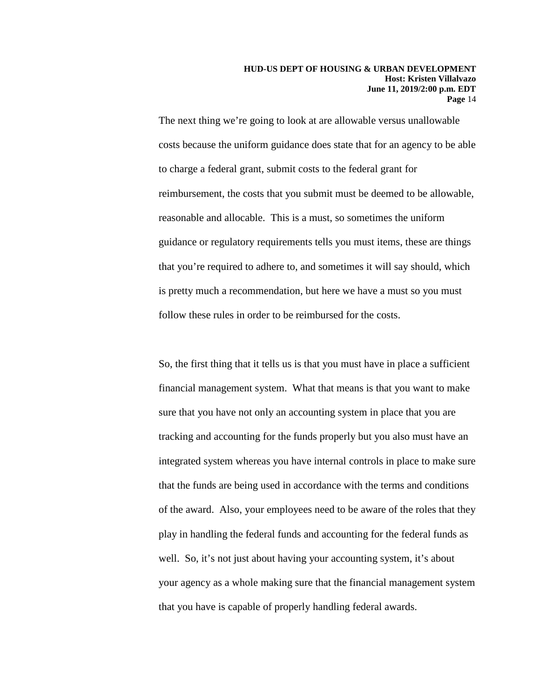The next thing we're going to look at are allowable versus unallowable costs because the uniform guidance does state that for an agency to be able to charge a federal grant, submit costs to the federal grant for reimbursement, the costs that you submit must be deemed to be allowable, reasonable and allocable. This is a must, so sometimes the uniform guidance or regulatory requirements tells you must items, these are things that you're required to adhere to, and sometimes it will say should, which is pretty much a recommendation, but here we have a must so you must follow these rules in order to be reimbursed for the costs.

So, the first thing that it tells us is that you must have in place a sufficient financial management system. What that means is that you want to make sure that you have not only an accounting system in place that you are tracking and accounting for the funds properly but you also must have an integrated system whereas you have internal controls in place to make sure that the funds are being used in accordance with the terms and conditions of the award. Also, your employees need to be aware of the roles that they play in handling the federal funds and accounting for the federal funds as well. So, it's not just about having your accounting system, it's about your agency as a whole making sure that the financial management system that you have is capable of properly handling federal awards.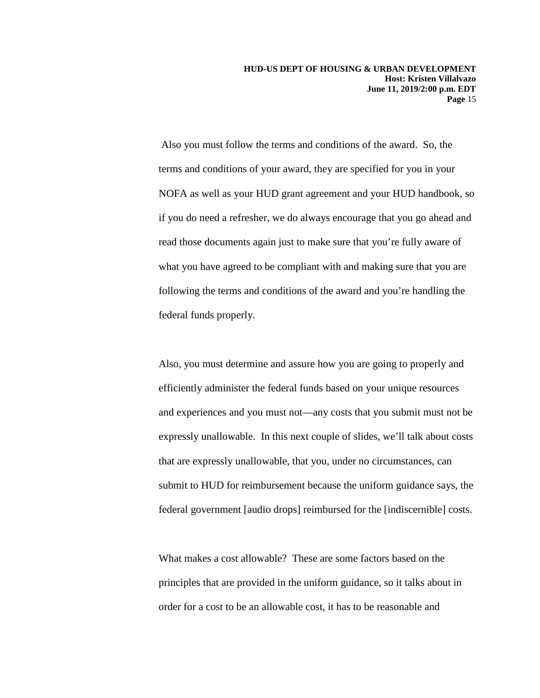Also you must follow the terms and conditions of the award. So, the terms and conditions of your award, they are specified for you in your NOFA as well as your HUD grant agreement and your HUD handbook, so if you do need a refresher, we do always encourage that you go ahead and read those documents again just to make sure that you're fully aware of what you have agreed to be compliant with and making sure that you are following the terms and conditions of the award and you're handling the federal funds properly.

Also, you must determine and assure how you are going to properly and efficiently administer the federal funds based on your unique resources and experiences and you must not—any costs that you submit must not be expressly unallowable. In this next couple of slides, we'll talk about costs that are expressly unallowable, that you, under no circumstances, can submit to HUD for reimbursement because the uniform guidance says, the federal government [audio drops] reimbursed for the [indiscernible] costs.

What makes a cost allowable? These are some factors based on the principles that are provided in the uniform guidance, so it talks about in order for a cost to be an allowable cost, it has to be reasonable and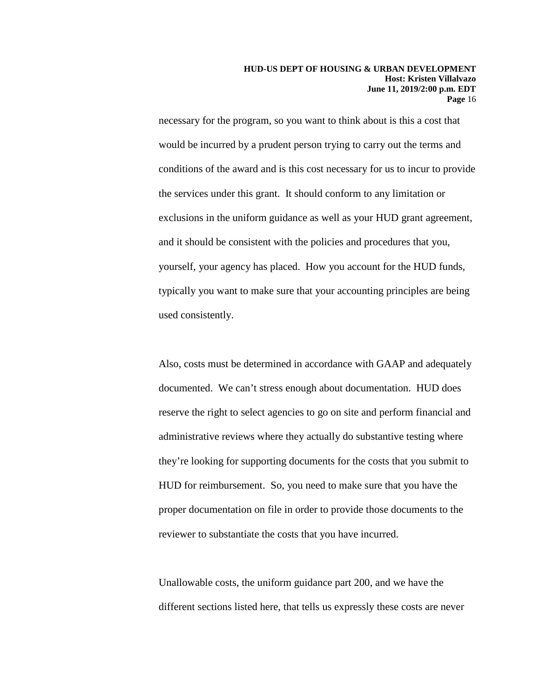necessary for the program, so you want to think about is this a cost that would be incurred by a prudent person trying to carry out the terms and conditions of the award and is this cost necessary for us to incur to provide the services under this grant. It should conform to any limitation or exclusions in the uniform guidance as well as your HUD grant agreement, and it should be consistent with the policies and procedures that you, yourself, your agency has placed. How you account for the HUD funds, typically you want to make sure that your accounting principles are being used consistently.

Also, costs must be determined in accordance with GAAP and adequately documented. We can't stress enough about documentation. HUD does reserve the right to select agencies to go on site and perform financial and administrative reviews where they actually do substantive testing where they're looking for supporting documents for the costs that you submit to HUD for reimbursement. So, you need to make sure that you have the proper documentation on file in order to provide those documents to the reviewer to substantiate the costs that you have incurred.

Unallowable costs, the uniform guidance part 200, and we have the different sections listed here, that tells us expressly these costs are never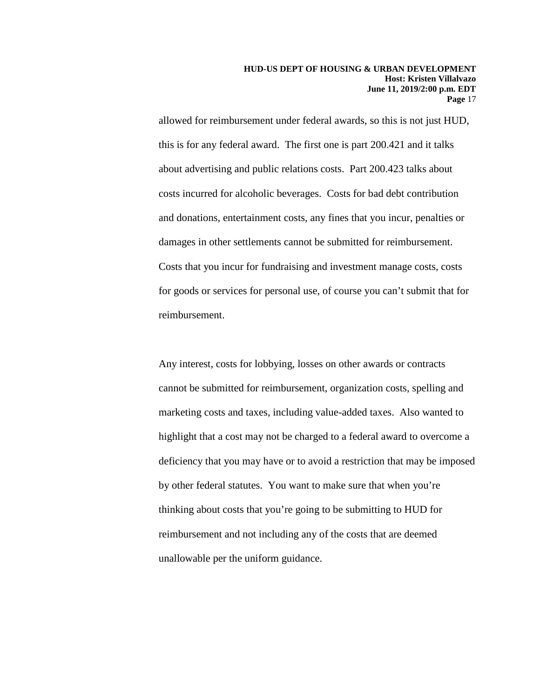allowed for reimbursement under federal awards, so this is not just HUD, this is for any federal award. The first one is part 200.421 and it talks about advertising and public relations costs. Part 200.423 talks about costs incurred for alcoholic beverages. Costs for bad debt contribution and donations, entertainment costs, any fines that you incur, penalties or damages in other settlements cannot be submitted for reimbursement. Costs that you incur for fundraising and investment manage costs, costs for goods or services for personal use, of course you can't submit that for reimbursement.

Any interest, costs for lobbying, losses on other awards or contracts cannot be submitted for reimbursement, organization costs, spelling and marketing costs and taxes, including value-added taxes. Also wanted to highlight that a cost may not be charged to a federal award to overcome a deficiency that you may have or to avoid a restriction that may be imposed by other federal statutes. You want to make sure that when you're thinking about costs that you're going to be submitting to HUD for reimbursement and not including any of the costs that are deemed unallowable per the uniform guidance.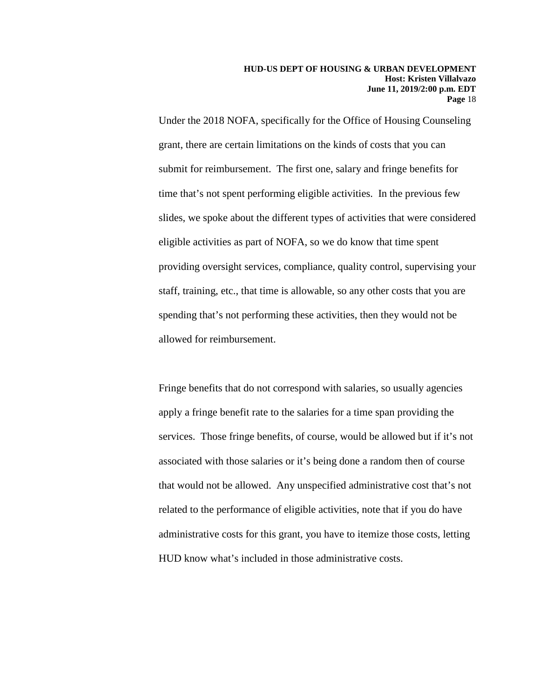Under the 2018 NOFA, specifically for the Office of Housing Counseling grant, there are certain limitations on the kinds of costs that you can submit for reimbursement. The first one, salary and fringe benefits for time that's not spent performing eligible activities. In the previous few slides, we spoke about the different types of activities that were considered eligible activities as part of NOFA, so we do know that time spent providing oversight services, compliance, quality control, supervising your staff, training, etc., that time is allowable, so any other costs that you are spending that's not performing these activities, then they would not be allowed for reimbursement.

Fringe benefits that do not correspond with salaries, so usually agencies apply a fringe benefit rate to the salaries for a time span providing the services. Those fringe benefits, of course, would be allowed but if it's not associated with those salaries or it's being done a random then of course that would not be allowed. Any unspecified administrative cost that's not related to the performance of eligible activities, note that if you do have administrative costs for this grant, you have to itemize those costs, letting HUD know what's included in those administrative costs.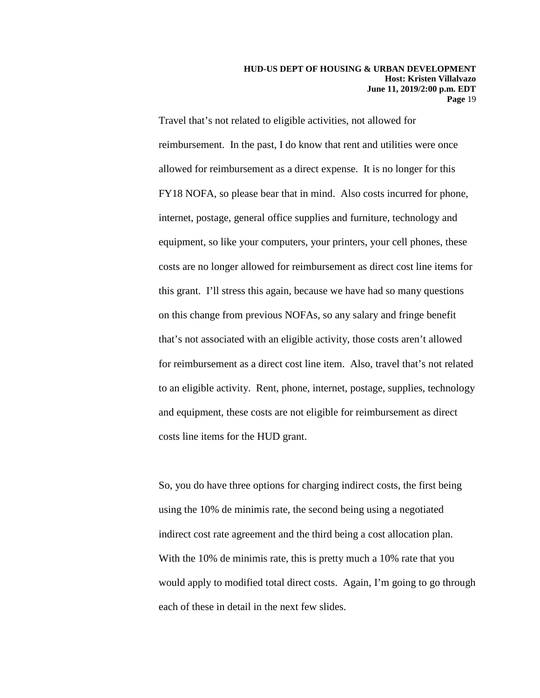Travel that's not related to eligible activities, not allowed for reimbursement. In the past, I do know that rent and utilities were once allowed for reimbursement as a direct expense. It is no longer for this FY18 NOFA, so please bear that in mind. Also costs incurred for phone, internet, postage, general office supplies and furniture, technology and equipment, so like your computers, your printers, your cell phones, these costs are no longer allowed for reimbursement as direct cost line items for this grant. I'll stress this again, because we have had so many questions on this change from previous NOFAs, so any salary and fringe benefit that's not associated with an eligible activity, those costs aren't allowed for reimbursement as a direct cost line item. Also, travel that's not related to an eligible activity. Rent, phone, internet, postage, supplies, technology and equipment, these costs are not eligible for reimbursement as direct costs line items for the HUD grant.

So, you do have three options for charging indirect costs, the first being using the 10% de minimis rate, the second being using a negotiated indirect cost rate agreement and the third being a cost allocation plan. With the 10% de minimis rate, this is pretty much a 10% rate that you would apply to modified total direct costs. Again, I'm going to go through each of these in detail in the next few slides.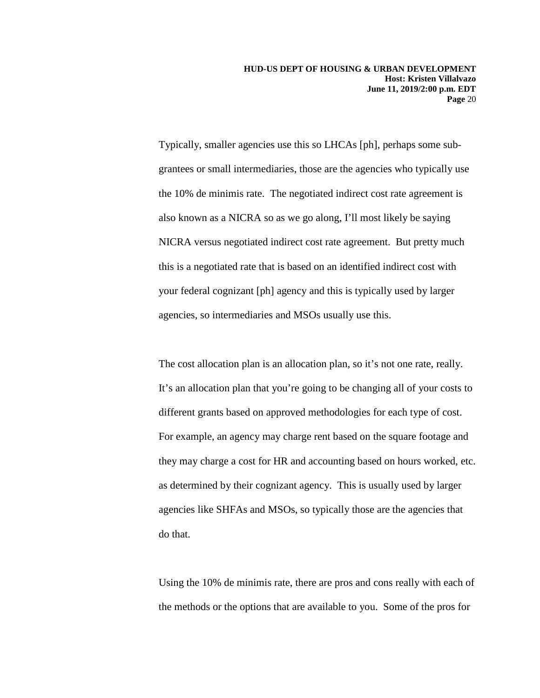Typically, smaller agencies use this so LHCAs [ph], perhaps some subgrantees or small intermediaries, those are the agencies who typically use the 10% de minimis rate. The negotiated indirect cost rate agreement is also known as a NICRA so as we go along, I'll most likely be saying NICRA versus negotiated indirect cost rate agreement. But pretty much this is a negotiated rate that is based on an identified indirect cost with your federal cognizant [ph] agency and this is typically used by larger agencies, so intermediaries and MSOs usually use this.

The cost allocation plan is an allocation plan, so it's not one rate, really. It's an allocation plan that you're going to be changing all of your costs to different grants based on approved methodologies for each type of cost. For example, an agency may charge rent based on the square footage and they may charge a cost for HR and accounting based on hours worked, etc. as determined by their cognizant agency. This is usually used by larger agencies like SHFAs and MSOs, so typically those are the agencies that do that.

Using the 10% de minimis rate, there are pros and cons really with each of the methods or the options that are available to you. Some of the pros for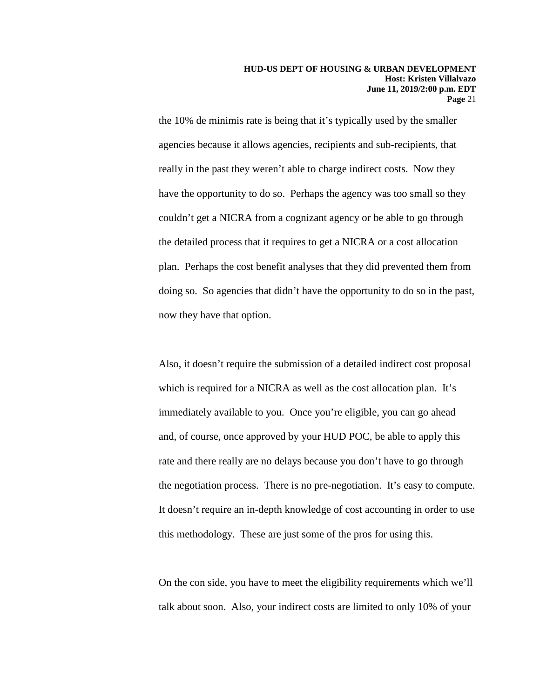the 10% de minimis rate is being that it's typically used by the smaller agencies because it allows agencies, recipients and sub-recipients, that really in the past they weren't able to charge indirect costs. Now they have the opportunity to do so. Perhaps the agency was too small so they couldn't get a NICRA from a cognizant agency or be able to go through the detailed process that it requires to get a NICRA or a cost allocation plan. Perhaps the cost benefit analyses that they did prevented them from doing so. So agencies that didn't have the opportunity to do so in the past, now they have that option.

Also, it doesn't require the submission of a detailed indirect cost proposal which is required for a NICRA as well as the cost allocation plan. It's immediately available to you. Once you're eligible, you can go ahead and, of course, once approved by your HUD POC, be able to apply this rate and there really are no delays because you don't have to go through the negotiation process. There is no pre-negotiation. It's easy to compute. It doesn't require an in-depth knowledge of cost accounting in order to use this methodology. These are just some of the pros for using this.

On the con side, you have to meet the eligibility requirements which we'll talk about soon. Also, your indirect costs are limited to only 10% of your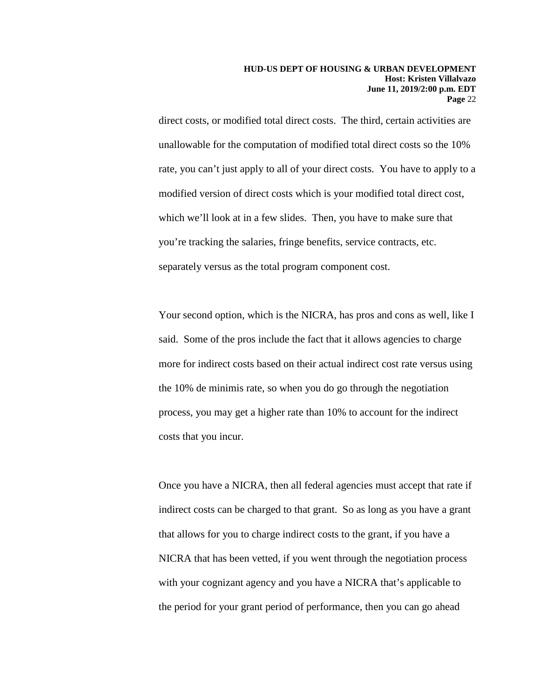direct costs, or modified total direct costs. The third, certain activities are unallowable for the computation of modified total direct costs so the 10% rate, you can't just apply to all of your direct costs. You have to apply to a modified version of direct costs which is your modified total direct cost, which we'll look at in a few slides. Then, you have to make sure that you're tracking the salaries, fringe benefits, service contracts, etc. separately versus as the total program component cost.

Your second option, which is the NICRA, has pros and cons as well, like I said. Some of the pros include the fact that it allows agencies to charge more for indirect costs based on their actual indirect cost rate versus using the 10% de minimis rate, so when you do go through the negotiation process, you may get a higher rate than 10% to account for the indirect costs that you incur.

Once you have a NICRA, then all federal agencies must accept that rate if indirect costs can be charged to that grant. So as long as you have a grant that allows for you to charge indirect costs to the grant, if you have a NICRA that has been vetted, if you went through the negotiation process with your cognizant agency and you have a NICRA that's applicable to the period for your grant period of performance, then you can go ahead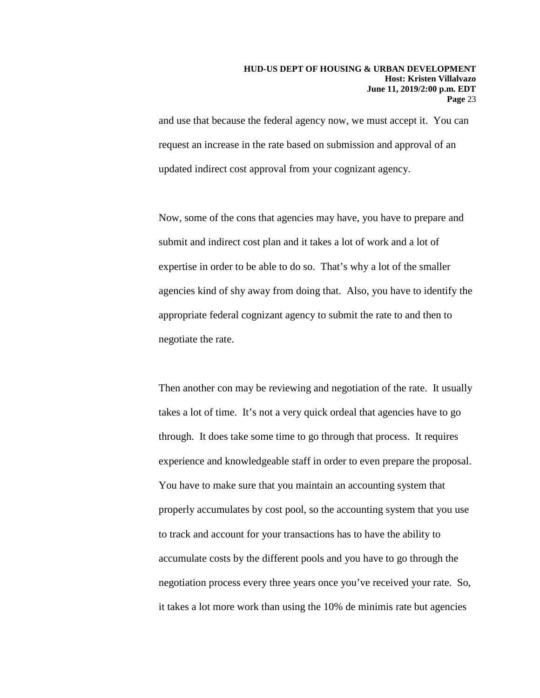and use that because the federal agency now, we must accept it. You can request an increase in the rate based on submission and approval of an updated indirect cost approval from your cognizant agency.

Now, some of the cons that agencies may have, you have to prepare and submit and indirect cost plan and it takes a lot of work and a lot of expertise in order to be able to do so. That's why a lot of the smaller agencies kind of shy away from doing that. Also, you have to identify the appropriate federal cognizant agency to submit the rate to and then to negotiate the rate.

Then another con may be reviewing and negotiation of the rate. It usually takes a lot of time. It's not a very quick ordeal that agencies have to go through. It does take some time to go through that process. It requires experience and knowledgeable staff in order to even prepare the proposal. You have to make sure that you maintain an accounting system that properly accumulates by cost pool, so the accounting system that you use to track and account for your transactions has to have the ability to accumulate costs by the different pools and you have to go through the negotiation process every three years once you've received your rate. So, it takes a lot more work than using the 10% de minimis rate but agencies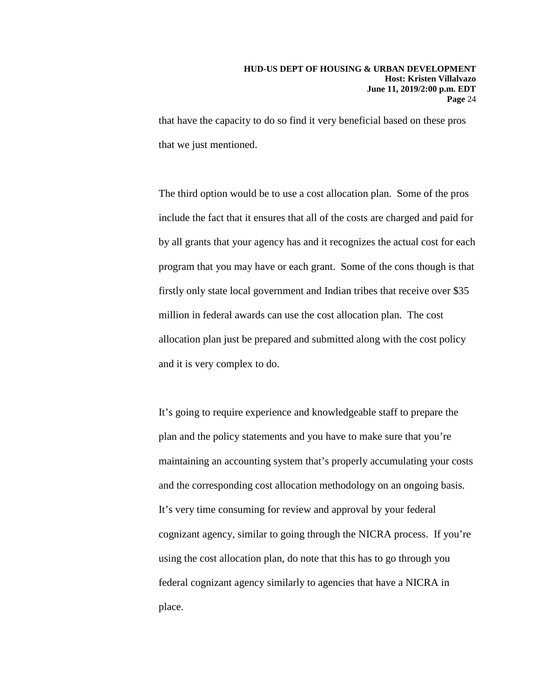that have the capacity to do so find it very beneficial based on these pros that we just mentioned.

The third option would be to use a cost allocation plan. Some of the pros include the fact that it ensures that all of the costs are charged and paid for by all grants that your agency has and it recognizes the actual cost for each program that you may have or each grant. Some of the cons though is that firstly only state local government and Indian tribes that receive over \$35 million in federal awards can use the cost allocation plan. The cost allocation plan just be prepared and submitted along with the cost policy and it is very complex to do.

It's going to require experience and knowledgeable staff to prepare the plan and the policy statements and you have to make sure that you're maintaining an accounting system that's properly accumulating your costs and the corresponding cost allocation methodology on an ongoing basis. It's very time consuming for review and approval by your federal cognizant agency, similar to going through the NICRA process. If you're using the cost allocation plan, do note that this has to go through you federal cognizant agency similarly to agencies that have a NICRA in place.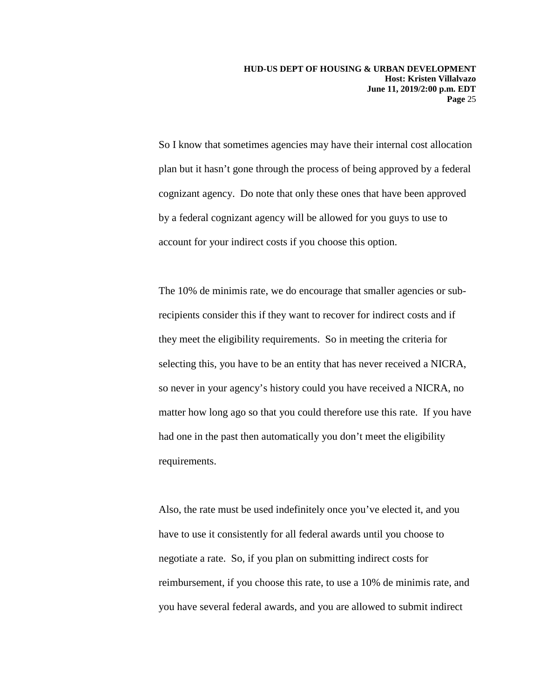So I know that sometimes agencies may have their internal cost allocation plan but it hasn't gone through the process of being approved by a federal cognizant agency. Do note that only these ones that have been approved by a federal cognizant agency will be allowed for you guys to use to account for your indirect costs if you choose this option.

The 10% de minimis rate, we do encourage that smaller agencies or subrecipients consider this if they want to recover for indirect costs and if they meet the eligibility requirements. So in meeting the criteria for selecting this, you have to be an entity that has never received a NICRA, so never in your agency's history could you have received a NICRA, no matter how long ago so that you could therefore use this rate. If you have had one in the past then automatically you don't meet the eligibility requirements.

Also, the rate must be used indefinitely once you've elected it, and you have to use it consistently for all federal awards until you choose to negotiate a rate. So, if you plan on submitting indirect costs for reimbursement, if you choose this rate, to use a 10% de minimis rate, and you have several federal awards, and you are allowed to submit indirect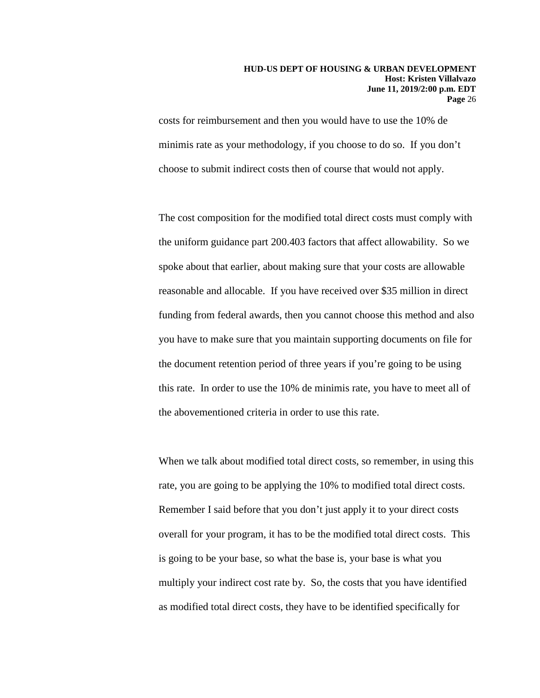costs for reimbursement and then you would have to use the 10% de minimis rate as your methodology, if you choose to do so. If you don't choose to submit indirect costs then of course that would not apply.

The cost composition for the modified total direct costs must comply with the uniform guidance part 200.403 factors that affect allowability. So we spoke about that earlier, about making sure that your costs are allowable reasonable and allocable. If you have received over \$35 million in direct funding from federal awards, then you cannot choose this method and also you have to make sure that you maintain supporting documents on file for the document retention period of three years if you're going to be using this rate. In order to use the 10% de minimis rate, you have to meet all of the abovementioned criteria in order to use this rate.

When we talk about modified total direct costs, so remember, in using this rate, you are going to be applying the 10% to modified total direct costs. Remember I said before that you don't just apply it to your direct costs overall for your program, it has to be the modified total direct costs. This is going to be your base, so what the base is, your base is what you multiply your indirect cost rate by. So, the costs that you have identified as modified total direct costs, they have to be identified specifically for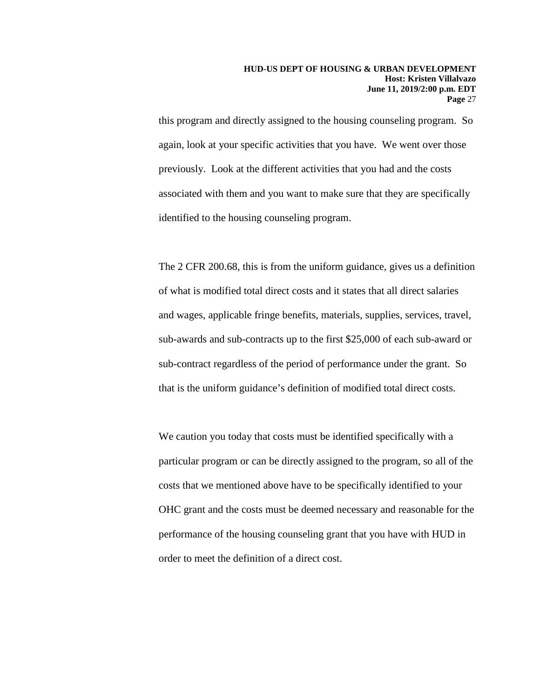this program and directly assigned to the housing counseling program. So again, look at your specific activities that you have. We went over those previously. Look at the different activities that you had and the costs associated with them and you want to make sure that they are specifically identified to the housing counseling program.

The 2 CFR 200.68, this is from the uniform guidance, gives us a definition of what is modified total direct costs and it states that all direct salaries and wages, applicable fringe benefits, materials, supplies, services, travel, sub-awards and sub-contracts up to the first \$25,000 of each sub-award or sub-contract regardless of the period of performance under the grant. So that is the uniform guidance's definition of modified total direct costs.

We caution you today that costs must be identified specifically with a particular program or can be directly assigned to the program, so all of the costs that we mentioned above have to be specifically identified to your OHC grant and the costs must be deemed necessary and reasonable for the performance of the housing counseling grant that you have with HUD in order to meet the definition of a direct cost.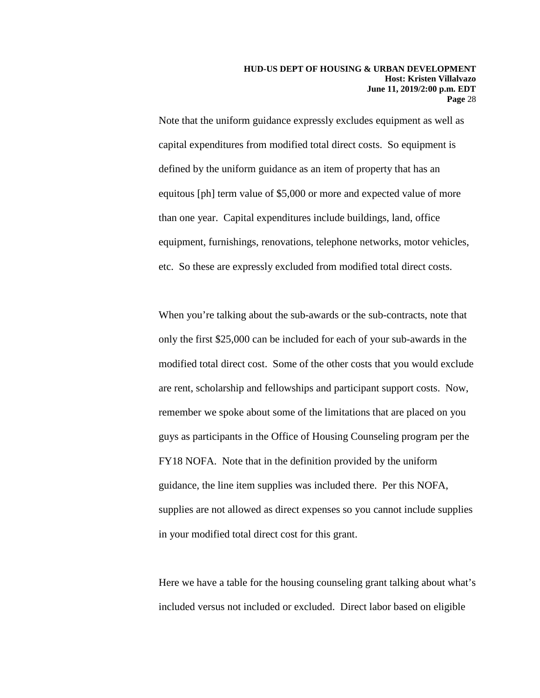Note that the uniform guidance expressly excludes equipment as well as capital expenditures from modified total direct costs. So equipment is defined by the uniform guidance as an item of property that has an equitous [ph] term value of \$5,000 or more and expected value of more than one year. Capital expenditures include buildings, land, office equipment, furnishings, renovations, telephone networks, motor vehicles, etc. So these are expressly excluded from modified total direct costs.

When you're talking about the sub-awards or the sub-contracts, note that only the first \$25,000 can be included for each of your sub-awards in the modified total direct cost. Some of the other costs that you would exclude are rent, scholarship and fellowships and participant support costs. Now, remember we spoke about some of the limitations that are placed on you guys as participants in the Office of Housing Counseling program per the FY18 NOFA. Note that in the definition provided by the uniform guidance, the line item supplies was included there. Per this NOFA, supplies are not allowed as direct expenses so you cannot include supplies in your modified total direct cost for this grant.

Here we have a table for the housing counseling grant talking about what's included versus not included or excluded. Direct labor based on eligible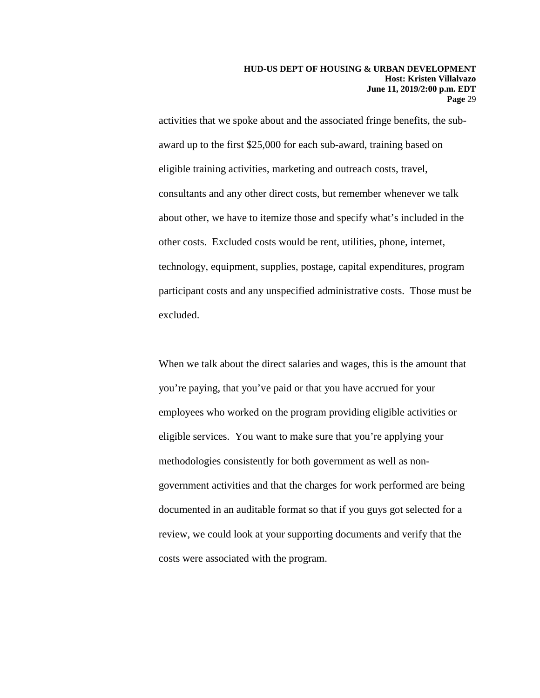activities that we spoke about and the associated fringe benefits, the subaward up to the first \$25,000 for each sub-award, training based on eligible training activities, marketing and outreach costs, travel, consultants and any other direct costs, but remember whenever we talk about other, we have to itemize those and specify what's included in the other costs. Excluded costs would be rent, utilities, phone, internet, technology, equipment, supplies, postage, capital expenditures, program participant costs and any unspecified administrative costs. Those must be excluded.

When we talk about the direct salaries and wages, this is the amount that you're paying, that you've paid or that you have accrued for your employees who worked on the program providing eligible activities or eligible services. You want to make sure that you're applying your methodologies consistently for both government as well as nongovernment activities and that the charges for work performed are being documented in an auditable format so that if you guys got selected for a review, we could look at your supporting documents and verify that the costs were associated with the program.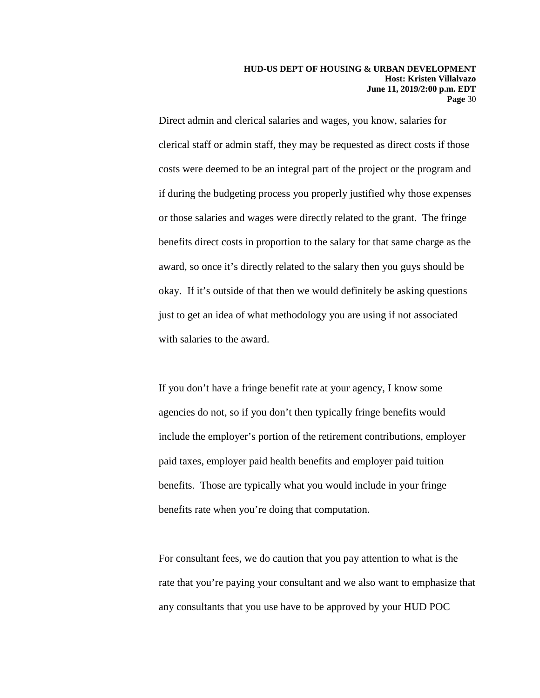Direct admin and clerical salaries and wages, you know, salaries for clerical staff or admin staff, they may be requested as direct costs if those costs were deemed to be an integral part of the project or the program and if during the budgeting process you properly justified why those expenses or those salaries and wages were directly related to the grant. The fringe benefits direct costs in proportion to the salary for that same charge as the award, so once it's directly related to the salary then you guys should be okay. If it's outside of that then we would definitely be asking questions just to get an idea of what methodology you are using if not associated with salaries to the award.

If you don't have a fringe benefit rate at your agency, I know some agencies do not, so if you don't then typically fringe benefits would include the employer's portion of the retirement contributions, employer paid taxes, employer paid health benefits and employer paid tuition benefits. Those are typically what you would include in your fringe benefits rate when you're doing that computation.

For consultant fees, we do caution that you pay attention to what is the rate that you're paying your consultant and we also want to emphasize that any consultants that you use have to be approved by your HUD POC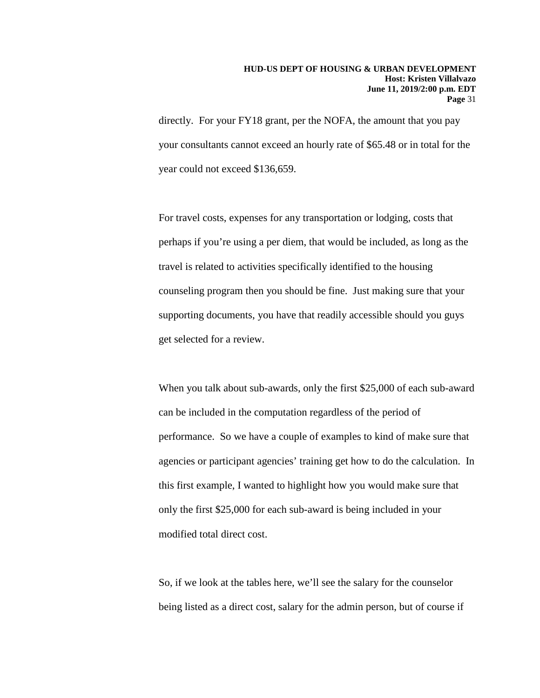directly. For your FY18 grant, per the NOFA, the amount that you pay your consultants cannot exceed an hourly rate of \$65.48 or in total for the year could not exceed \$136,659.

For travel costs, expenses for any transportation or lodging, costs that perhaps if you're using a per diem, that would be included, as long as the travel is related to activities specifically identified to the housing counseling program then you should be fine. Just making sure that your supporting documents, you have that readily accessible should you guys get selected for a review.

When you talk about sub-awards, only the first \$25,000 of each sub-award can be included in the computation regardless of the period of performance. So we have a couple of examples to kind of make sure that agencies or participant agencies' training get how to do the calculation. In this first example, I wanted to highlight how you would make sure that only the first \$25,000 for each sub-award is being included in your modified total direct cost.

So, if we look at the tables here, we'll see the salary for the counselor being listed as a direct cost, salary for the admin person, but of course if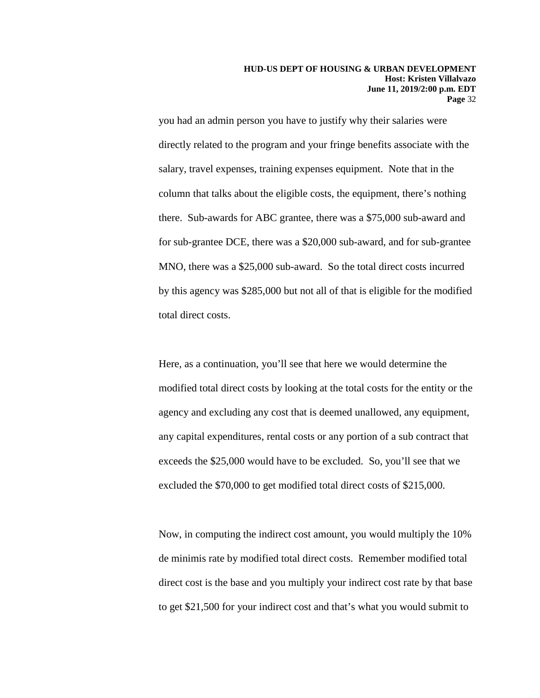you had an admin person you have to justify why their salaries were directly related to the program and your fringe benefits associate with the salary, travel expenses, training expenses equipment. Note that in the column that talks about the eligible costs, the equipment, there's nothing there. Sub-awards for ABC grantee, there was a \$75,000 sub-award and for sub-grantee DCE, there was a \$20,000 sub-award, and for sub-grantee MNO, there was a \$25,000 sub-award. So the total direct costs incurred by this agency was \$285,000 but not all of that is eligible for the modified total direct costs.

Here, as a continuation, you'll see that here we would determine the modified total direct costs by looking at the total costs for the entity or the agency and excluding any cost that is deemed unallowed, any equipment, any capital expenditures, rental costs or any portion of a sub contract that exceeds the \$25,000 would have to be excluded. So, you'll see that we excluded the \$70,000 to get modified total direct costs of \$215,000.

Now, in computing the indirect cost amount, you would multiply the 10% de minimis rate by modified total direct costs. Remember modified total direct cost is the base and you multiply your indirect cost rate by that base to get \$21,500 for your indirect cost and that's what you would submit to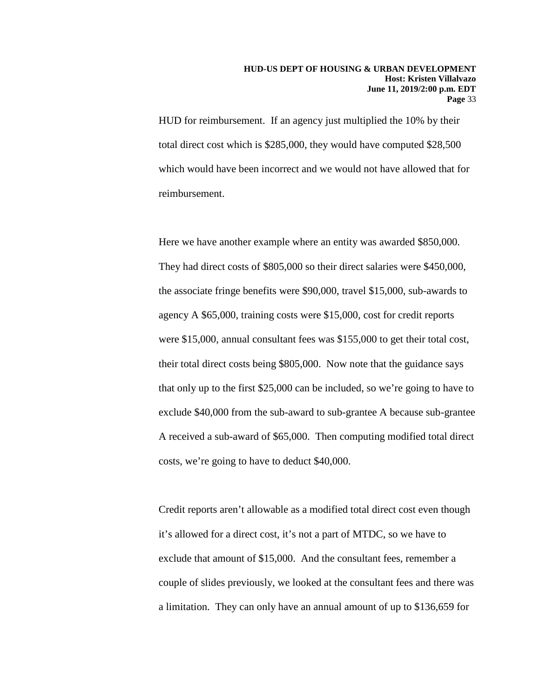HUD for reimbursement. If an agency just multiplied the 10% by their total direct cost which is \$285,000, they would have computed \$28,500 which would have been incorrect and we would not have allowed that for reimbursement.

Here we have another example where an entity was awarded \$850,000. They had direct costs of \$805,000 so their direct salaries were \$450,000, the associate fringe benefits were \$90,000, travel \$15,000, sub-awards to agency A \$65,000, training costs were \$15,000, cost for credit reports were \$15,000, annual consultant fees was \$155,000 to get their total cost, their total direct costs being \$805,000. Now note that the guidance says that only up to the first \$25,000 can be included, so we're going to have to exclude \$40,000 from the sub-award to sub-grantee A because sub-grantee A received a sub-award of \$65,000. Then computing modified total direct costs, we're going to have to deduct \$40,000.

Credit reports aren't allowable as a modified total direct cost even though it's allowed for a direct cost, it's not a part of MTDC, so we have to exclude that amount of \$15,000. And the consultant fees, remember a couple of slides previously, we looked at the consultant fees and there was a limitation. They can only have an annual amount of up to \$136,659 for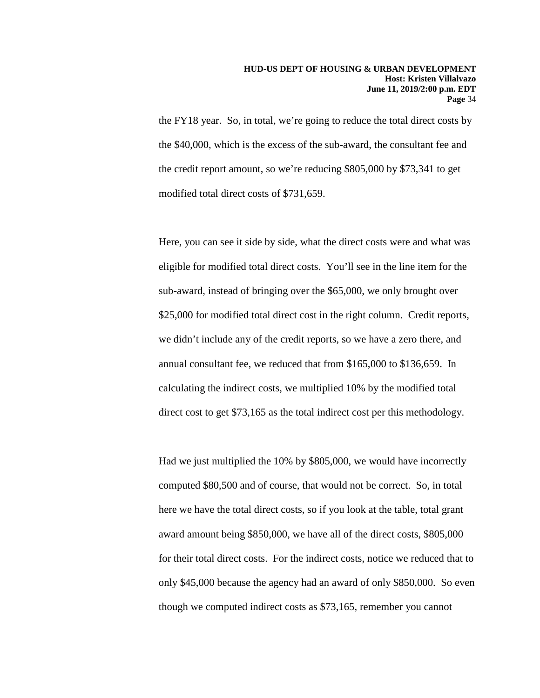the FY18 year. So, in total, we're going to reduce the total direct costs by the \$40,000, which is the excess of the sub-award, the consultant fee and the credit report amount, so we're reducing \$805,000 by \$73,341 to get modified total direct costs of \$731,659.

Here, you can see it side by side, what the direct costs were and what was eligible for modified total direct costs. You'll see in the line item for the sub-award, instead of bringing over the \$65,000, we only brought over \$25,000 for modified total direct cost in the right column. Credit reports, we didn't include any of the credit reports, so we have a zero there, and annual consultant fee, we reduced that from \$165,000 to \$136,659. In calculating the indirect costs, we multiplied 10% by the modified total direct cost to get \$73,165 as the total indirect cost per this methodology.

Had we just multiplied the 10% by \$805,000, we would have incorrectly computed \$80,500 and of course, that would not be correct. So, in total here we have the total direct costs, so if you look at the table, total grant award amount being \$850,000, we have all of the direct costs, \$805,000 for their total direct costs. For the indirect costs, notice we reduced that to only \$45,000 because the agency had an award of only \$850,000. So even though we computed indirect costs as \$73,165, remember you cannot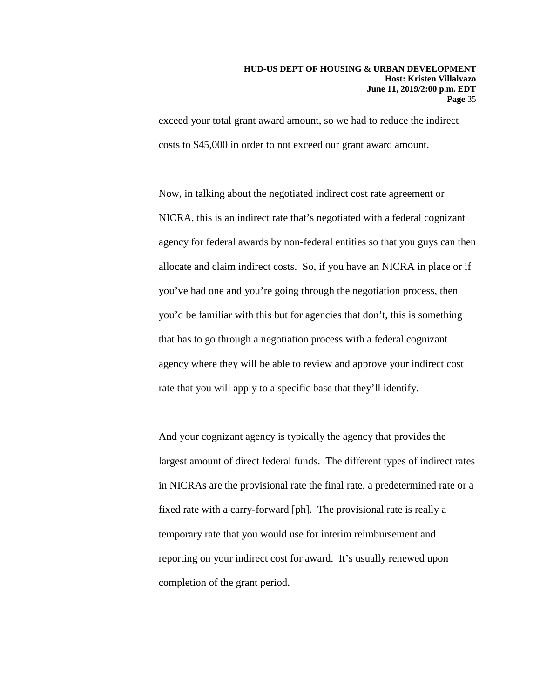exceed your total grant award amount, so we had to reduce the indirect costs to \$45,000 in order to not exceed our grant award amount.

Now, in talking about the negotiated indirect cost rate agreement or NICRA, this is an indirect rate that's negotiated with a federal cognizant agency for federal awards by non-federal entities so that you guys can then allocate and claim indirect costs. So, if you have an NICRA in place or if you've had one and you're going through the negotiation process, then you'd be familiar with this but for agencies that don't, this is something that has to go through a negotiation process with a federal cognizant agency where they will be able to review and approve your indirect cost rate that you will apply to a specific base that they'll identify.

And your cognizant agency is typically the agency that provides the largest amount of direct federal funds. The different types of indirect rates in NICRAs are the provisional rate the final rate, a predetermined rate or a fixed rate with a carry-forward [ph]. The provisional rate is really a temporary rate that you would use for interim reimbursement and reporting on your indirect cost for award. It's usually renewed upon completion of the grant period.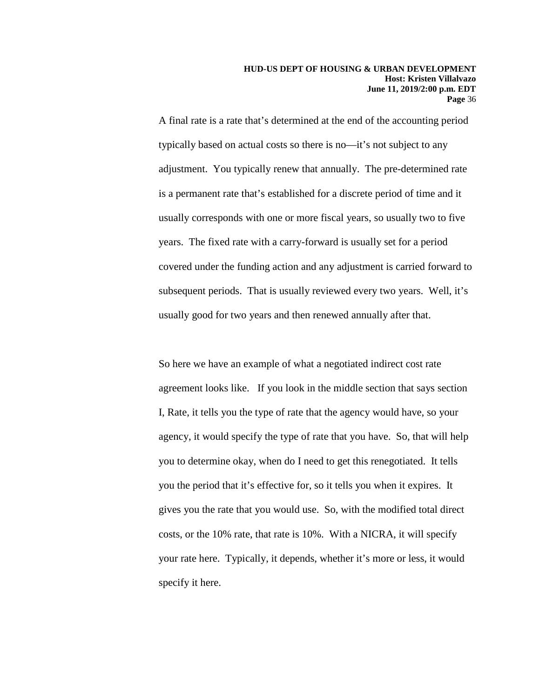A final rate is a rate that's determined at the end of the accounting period typically based on actual costs so there is no—it's not subject to any adjustment. You typically renew that annually. The pre-determined rate is a permanent rate that's established for a discrete period of time and it usually corresponds with one or more fiscal years, so usually two to five years. The fixed rate with a carry-forward is usually set for a period covered under the funding action and any adjustment is carried forward to subsequent periods. That is usually reviewed every two years. Well, it's usually good for two years and then renewed annually after that.

So here we have an example of what a negotiated indirect cost rate agreement looks like. If you look in the middle section that says section I, Rate, it tells you the type of rate that the agency would have, so your agency, it would specify the type of rate that you have. So, that will help you to determine okay, when do I need to get this renegotiated. It tells you the period that it's effective for, so it tells you when it expires. It gives you the rate that you would use. So, with the modified total direct costs, or the 10% rate, that rate is 10%. With a NICRA, it will specify your rate here. Typically, it depends, whether it's more or less, it would specify it here.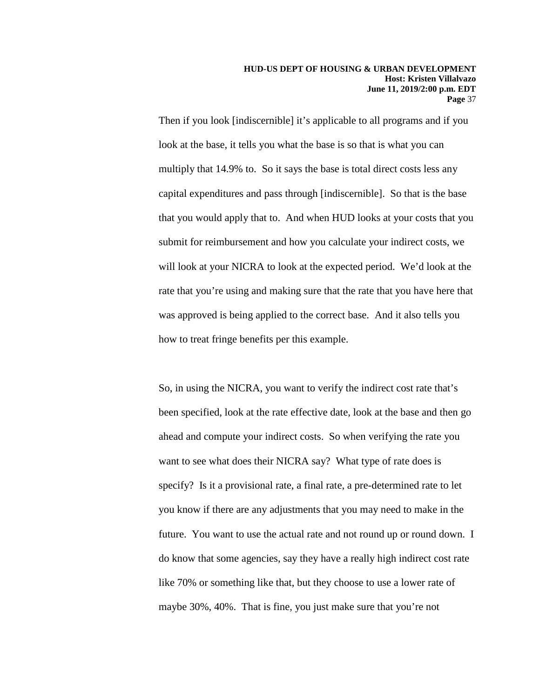Then if you look [indiscernible] it's applicable to all programs and if you look at the base, it tells you what the base is so that is what you can multiply that 14.9% to. So it says the base is total direct costs less any capital expenditures and pass through [indiscernible]. So that is the base that you would apply that to. And when HUD looks at your costs that you submit for reimbursement and how you calculate your indirect costs, we will look at your NICRA to look at the expected period. We'd look at the rate that you're using and making sure that the rate that you have here that was approved is being applied to the correct base. And it also tells you how to treat fringe benefits per this example.

So, in using the NICRA, you want to verify the indirect cost rate that's been specified, look at the rate effective date, look at the base and then go ahead and compute your indirect costs. So when verifying the rate you want to see what does their NICRA say? What type of rate does is specify? Is it a provisional rate, a final rate, a pre-determined rate to let you know if there are any adjustments that you may need to make in the future. You want to use the actual rate and not round up or round down. I do know that some agencies, say they have a really high indirect cost rate like 70% or something like that, but they choose to use a lower rate of maybe 30%, 40%. That is fine, you just make sure that you're not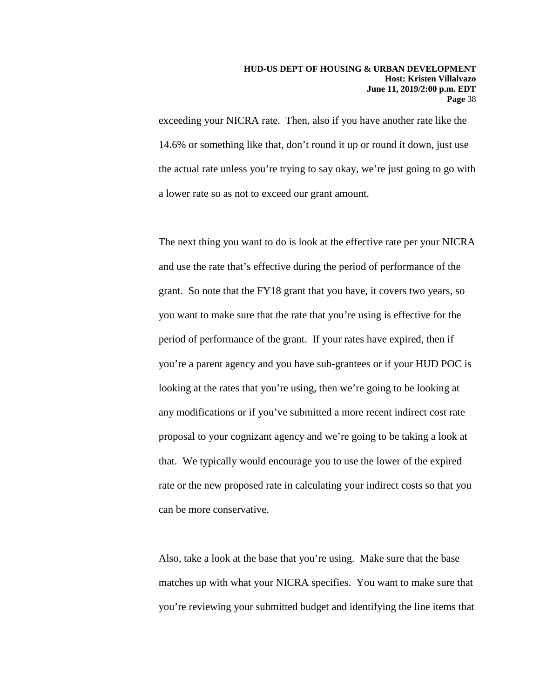exceeding your NICRA rate. Then, also if you have another rate like the 14.6% or something like that, don't round it up or round it down, just use the actual rate unless you're trying to say okay, we're just going to go with a lower rate so as not to exceed our grant amount.

The next thing you want to do is look at the effective rate per your NICRA and use the rate that's effective during the period of performance of the grant. So note that the FY18 grant that you have, it covers two years, so you want to make sure that the rate that you're using is effective for the period of performance of the grant. If your rates have expired, then if you're a parent agency and you have sub-grantees or if your HUD POC is looking at the rates that you're using, then we're going to be looking at any modifications or if you've submitted a more recent indirect cost rate proposal to your cognizant agency and we're going to be taking a look at that. We typically would encourage you to use the lower of the expired rate or the new proposed rate in calculating your indirect costs so that you can be more conservative.

Also, take a look at the base that you're using. Make sure that the base matches up with what your NICRA specifies. You want to make sure that you're reviewing your submitted budget and identifying the line items that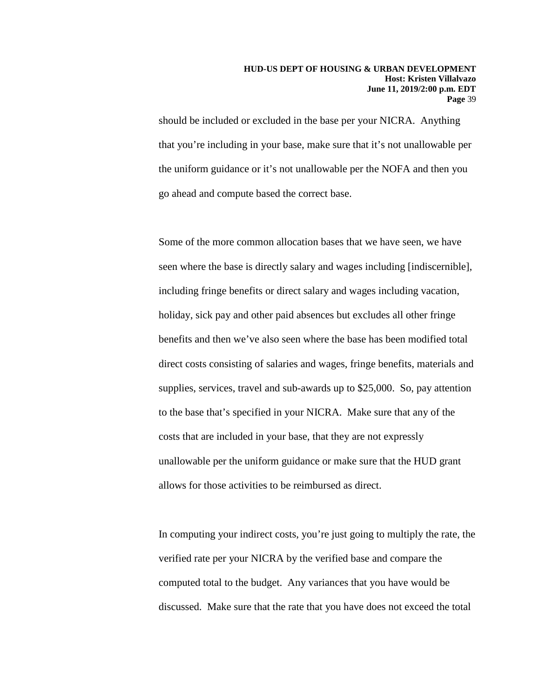should be included or excluded in the base per your NICRA. Anything that you're including in your base, make sure that it's not unallowable per the uniform guidance or it's not unallowable per the NOFA and then you go ahead and compute based the correct base.

Some of the more common allocation bases that we have seen, we have seen where the base is directly salary and wages including [indiscernible], including fringe benefits or direct salary and wages including vacation, holiday, sick pay and other paid absences but excludes all other fringe benefits and then we've also seen where the base has been modified total direct costs consisting of salaries and wages, fringe benefits, materials and supplies, services, travel and sub-awards up to \$25,000. So, pay attention to the base that's specified in your NICRA. Make sure that any of the costs that are included in your base, that they are not expressly unallowable per the uniform guidance or make sure that the HUD grant allows for those activities to be reimbursed as direct.

In computing your indirect costs, you're just going to multiply the rate, the verified rate per your NICRA by the verified base and compare the computed total to the budget. Any variances that you have would be discussed. Make sure that the rate that you have does not exceed the total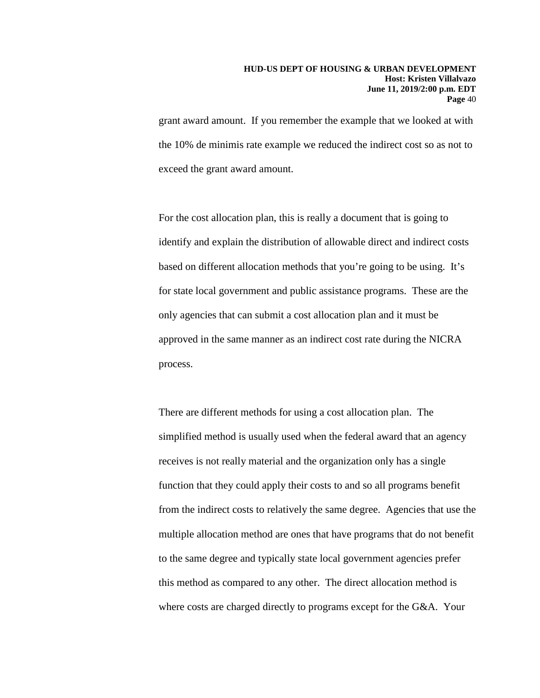grant award amount. If you remember the example that we looked at with the 10% de minimis rate example we reduced the indirect cost so as not to exceed the grant award amount.

For the cost allocation plan, this is really a document that is going to identify and explain the distribution of allowable direct and indirect costs based on different allocation methods that you're going to be using. It's for state local government and public assistance programs. These are the only agencies that can submit a cost allocation plan and it must be approved in the same manner as an indirect cost rate during the NICRA process.

There are different methods for using a cost allocation plan. The simplified method is usually used when the federal award that an agency receives is not really material and the organization only has a single function that they could apply their costs to and so all programs benefit from the indirect costs to relatively the same degree. Agencies that use the multiple allocation method are ones that have programs that do not benefit to the same degree and typically state local government agencies prefer this method as compared to any other. The direct allocation method is where costs are charged directly to programs except for the G&A. Your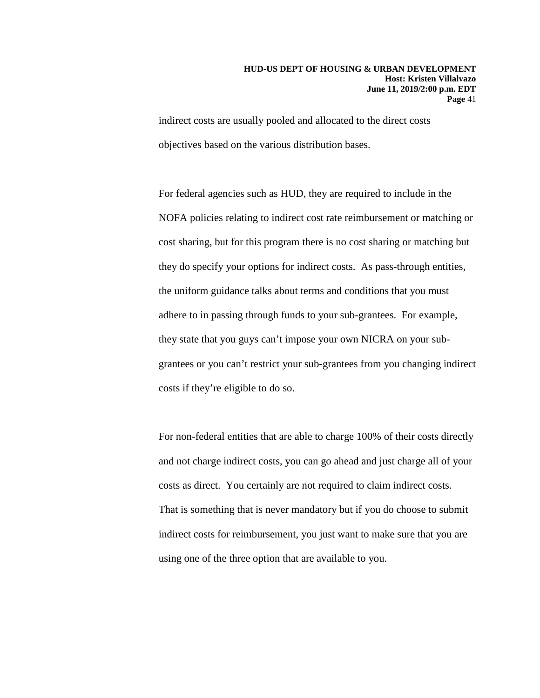indirect costs are usually pooled and allocated to the direct costs objectives based on the various distribution bases.

For federal agencies such as HUD, they are required to include in the NOFA policies relating to indirect cost rate reimbursement or matching or cost sharing, but for this program there is no cost sharing or matching but they do specify your options for indirect costs. As pass-through entities, the uniform guidance talks about terms and conditions that you must adhere to in passing through funds to your sub-grantees. For example, they state that you guys can't impose your own NICRA on your subgrantees or you can't restrict your sub-grantees from you changing indirect costs if they're eligible to do so.

For non-federal entities that are able to charge 100% of their costs directly and not charge indirect costs, you can go ahead and just charge all of your costs as direct. You certainly are not required to claim indirect costs. That is something that is never mandatory but if you do choose to submit indirect costs for reimbursement, you just want to make sure that you are using one of the three option that are available to you.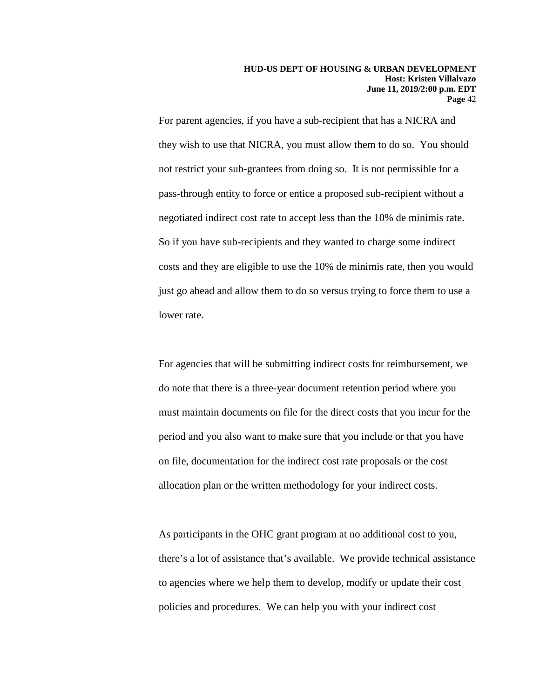For parent agencies, if you have a sub-recipient that has a NICRA and they wish to use that NICRA, you must allow them to do so. You should not restrict your sub-grantees from doing so. It is not permissible for a pass-through entity to force or entice a proposed sub-recipient without a negotiated indirect cost rate to accept less than the 10% de minimis rate. So if you have sub-recipients and they wanted to charge some indirect costs and they are eligible to use the 10% de minimis rate, then you would just go ahead and allow them to do so versus trying to force them to use a lower rate.

For agencies that will be submitting indirect costs for reimbursement, we do note that there is a three-year document retention period where you must maintain documents on file for the direct costs that you incur for the period and you also want to make sure that you include or that you have on file, documentation for the indirect cost rate proposals or the cost allocation plan or the written methodology for your indirect costs.

As participants in the OHC grant program at no additional cost to you, there's a lot of assistance that's available. We provide technical assistance to agencies where we help them to develop, modify or update their cost policies and procedures. We can help you with your indirect cost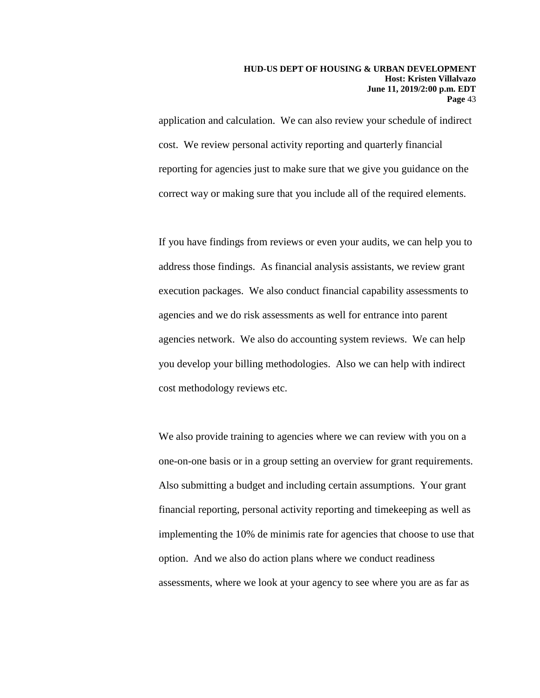application and calculation. We can also review your schedule of indirect cost. We review personal activity reporting and quarterly financial reporting for agencies just to make sure that we give you guidance on the correct way or making sure that you include all of the required elements.

If you have findings from reviews or even your audits, we can help you to address those findings. As financial analysis assistants, we review grant execution packages. We also conduct financial capability assessments to agencies and we do risk assessments as well for entrance into parent agencies network. We also do accounting system reviews. We can help you develop your billing methodologies. Also we can help with indirect cost methodology reviews etc.

We also provide training to agencies where we can review with you on a one-on-one basis or in a group setting an overview for grant requirements. Also submitting a budget and including certain assumptions. Your grant financial reporting, personal activity reporting and timekeeping as well as implementing the 10% de minimis rate for agencies that choose to use that option. And we also do action plans where we conduct readiness assessments, where we look at your agency to see where you are as far as